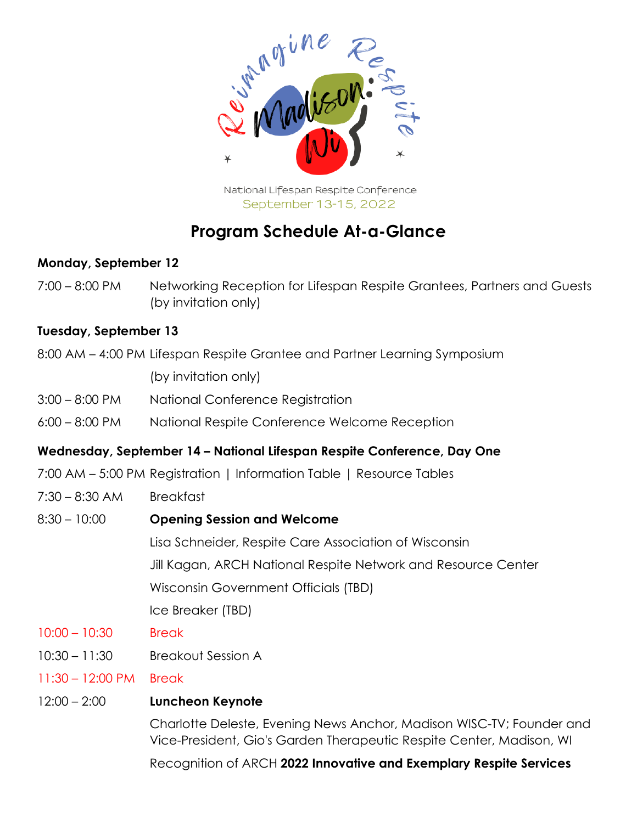

National Lifespan Respite Conference September 13-15, 2022

# **Program Schedule At-a-Glance**

### **Monday, September 12**

7:00 – 8:00 PM Networking Reception for Lifespan Respite Grantees, Partners and Guests (by invitation only)

#### **Tuesday, September 13**

8:00 AM – 4:00 PM Lifespan Respite Grantee and Partner Learning Symposium

(by invitation only)

- 3:00 8:00 PM National Conference Registration
- 6:00 8:00 PM National Respite Conference Welcome Reception

#### **Wednesday, September 14 – National Lifespan Respite Conference, Day One**

- 7:00 AM 5:00 PM Registration | Information Table | Resource Tables
- 7:30 8:30 AM Breakfast
- 8:30 10:00 **Opening Session and Welcome**

Lisa Schneider, Respite Care Association of Wisconsin Jill Kagan, ARCH National Respite Network and Resource Center Wisconsin Government Officials (TBD)

Ice Breaker (TBD)

- 10:00 10:30 Break
- 10:30 11:30 Breakout Session A
- 11:30 12:00 PM Break

#### 12:00 – 2:00 **Luncheon Keynote**

Charlotte Deleste, Evening News Anchor, Madison WISC-TV; Founder and Vice-President, Gio's Garden Therapeutic Respite Center, Madison, WI

Recognition of ARCH **2022 Innovative and Exemplary Respite Services**